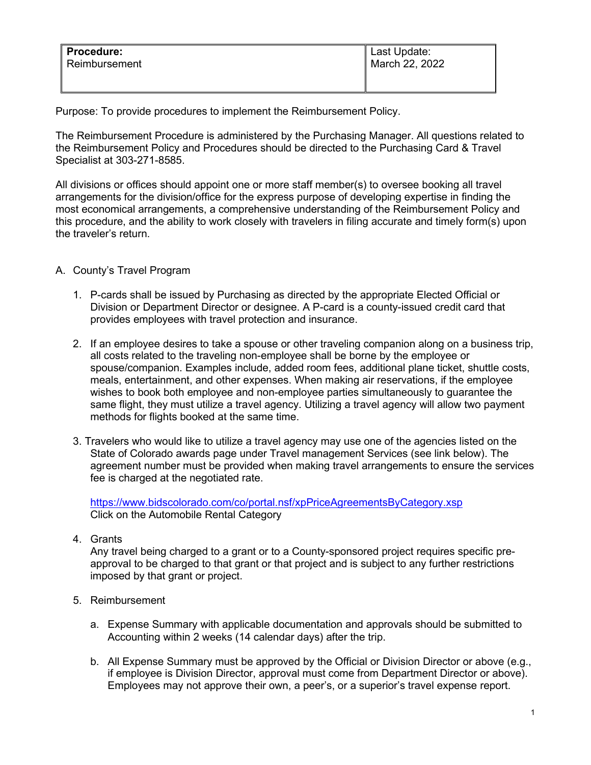| Procedure:    | Last Update:   |
|---------------|----------------|
| Reimbursement | March 22, 2022 |
|               |                |

Purpose: To provide procedures to implement the Reimbursement Policy.

The Reimbursement Procedure is administered by the Purchasing Manager. All questions related to the Reimbursement Policy and Procedures should be directed to the Purchasing Card & Travel Specialist at 303-271-8585.

All divisions or offices should appoint one or more staff member(s) to oversee booking all travel arrangements for the division/office for the express purpose of developing expertise in finding the most economical arrangements, a comprehensive understanding of the Reimbursement Policy and this procedure, and the ability to work closely with travelers in filing accurate and timely form(s) upon the traveler's return.

## A. County's Travel Program

- 1. P-cards shall be issued by Purchasing as directed by the appropriate Elected Official or Division or Department Director or designee. A P-card is a county-issued credit card that provides employees with travel protection and insurance.
- 2. If an employee desires to take a spouse or other traveling companion along on a business trip, all costs related to the traveling non-employee shall be borne by the employee or spouse/companion. Examples include, added room fees, additional plane ticket, shuttle costs, meals, entertainment, and other expenses. When making air reservations, if the employee wishes to book both employee and non-employee parties simultaneously to guarantee the same flight, they must utilize a travel agency. Utilizing a travel agency will allow two payment methods for flights booked at the same time.
- 3. Travelers who would like to utilize a travel agency may use one of the agencies listed on the State of Colorado awards page under Travel management Services (see link below). The agreement number must be provided when making travel arrangements to ensure the services fee is charged at the negotiated rate.

<https://www.bidscolorado.com/co/portal.nsf/xpPriceAgreementsByCategory.xsp> Click on the Automobile Rental Category

4. Grants

Any travel being charged to a grant or to a County-sponsored project requires specific preapproval to be charged to that grant or that project and is subject to any further restrictions imposed by that grant or project.

- 5. Reimbursement
	- a. Expense Summary with applicable documentation and approvals should be submitted to Accounting within 2 weeks (14 calendar days) after the trip.
	- b. All Expense Summary must be approved by the Official or Division Director or above (e.g., if employee is Division Director, approval must come from Department Director or above). Employees may not approve their own, a peer's, or a superior's travel expense report.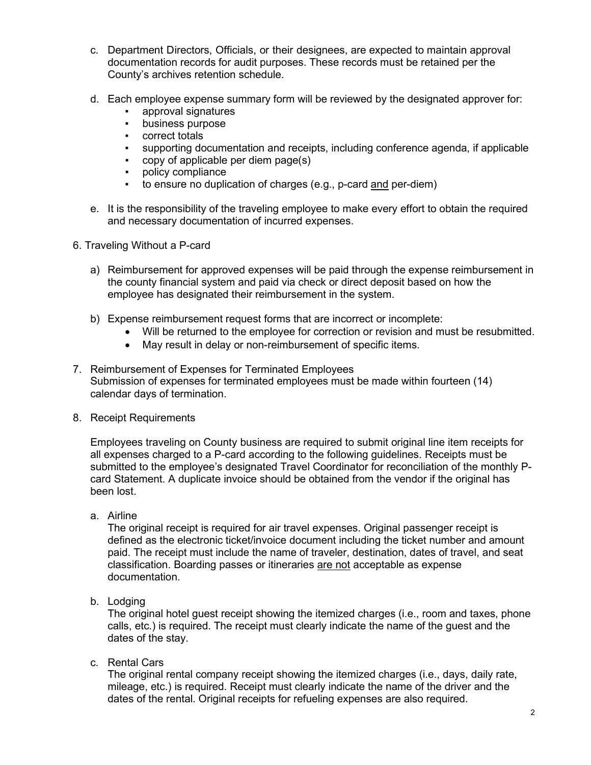- c. Department Directors, Officials, or their designees, are expected to maintain approval documentation records for audit purposes. These records must be retained per the County's archives retention schedule.
- d. Each employee expense summary form will be reviewed by the designated approver for:
	- approval signatures
	- business purpose
	- correct totals
	- supporting documentation and receipts, including conference agenda, if applicable
	- copy of applicable per diem page(s)
	- policy compliance
	- to ensure no duplication of charges (e.g., p-card and per-diem)
- e. It is the responsibility of the traveling employee to make every effort to obtain the required and necessary documentation of incurred expenses.
- 6. Traveling Without a P-card
	- a) Reimbursement for approved expenses will be paid through the expense reimbursement in the county financial system and paid via check or direct deposit based on how the employee has designated their reimbursement in the system.
	- b) Expense reimbursement request forms that are incorrect or incomplete:
		- Will be returned to the employee for correction or revision and must be resubmitted.
		- May result in delay or non-reimbursement of specific items.
- 7. Reimbursement of Expenses for Terminated Employees Submission of expenses for terminated employees must be made within fourteen (14) calendar days of termination.
- 8. Receipt Requirements

Employees traveling on County business are required to submit original line item receipts for all expenses charged to a P-card according to the following guidelines. Receipts must be submitted to the employee's designated Travel Coordinator for reconciliation of the monthly Pcard Statement. A duplicate invoice should be obtained from the vendor if the original has been lost.

a. Airline

The original receipt is required for air travel expenses. Original passenger receipt is defined as the electronic ticket/invoice document including the ticket number and amount paid. The receipt must include the name of traveler, destination, dates of travel, and seat classification. Boarding passes or itineraries are not acceptable as expense documentation.

b. Lodging

The original hotel guest receipt showing the itemized charges (i.e., room and taxes, phone calls, etc.) is required. The receipt must clearly indicate the name of the guest and the dates of the stay.

c. Rental Cars

The original rental company receipt showing the itemized charges (i.e., days, daily rate, mileage, etc.) is required. Receipt must clearly indicate the name of the driver and the dates of the rental. Original receipts for refueling expenses are also required.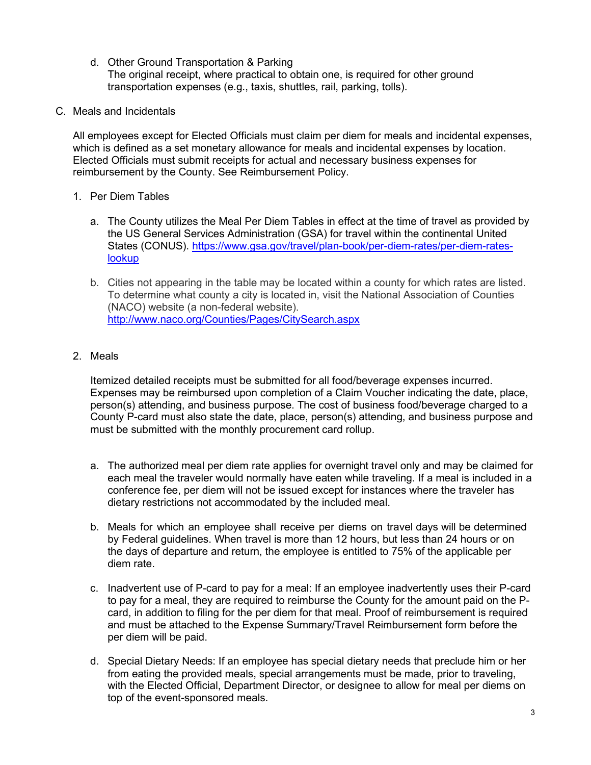- d. Other Ground Transportation & Parking The original receipt, where practical to obtain one, is required for other ground transportation expenses (e.g., taxis, shuttles, rail, parking, tolls).
- C. Meals and Incidentals

All employees except for Elected Officials must claim per diem for meals and incidental expenses, which is defined as a set monetary allowance for meals and incidental expenses by location. Elected Officials must submit receipts for actual and necessary business expenses for reimbursement by the County. See Reimbursement Policy.

- 1. Per Diem Tables
	- a. The County utilizes the Meal Per Diem Tables in effect at the time of travel as provided by the US General Services Administration (GSA) for travel within the continental United States (CONUS). [https://www.gsa.gov/travel/plan-book/per-diem-rates/per-diem-rates](https://www.gsa.gov/travel/plan-book/per-diem-rates/per-diem-rates-lookup)[lookup](https://www.gsa.gov/travel/plan-book/per-diem-rates/per-diem-rates-lookup)
	- b. Cities not appearing in the table may be located within a county for which rates are listed. To determine what county a city is located in, visit the National Association of Counties (NACO) website (a non-federal website). <http://www.naco.org/Counties/Pages/CitySearch.aspx>
- 2. Meals

Itemized detailed receipts must be submitted for all food/beverage expenses incurred. Expenses may be reimbursed upon completion of a Claim Voucher indicating the date, place, person(s) attending, and business purpose. The cost of business food/beverage charged to a County P-card must also state the date, place, person(s) attending, and business purpose and must be submitted with the monthly procurement card rollup.

- a. The authorized meal per diem rate applies for overnight travel only and may be claimed for each meal the traveler would normally have eaten while traveling. If a meal is included in a conference fee, per diem will not be issued except for instances where the traveler has dietary restrictions not accommodated by the included meal.
- b. Meals for which an employee shall receive per diems on travel days will be determined by Federal guidelines. When travel is more than 12 hours, but less than 24 hours or on the days of departure and return, the employee is entitled to 75% of the applicable per diem rate.
- c. Inadvertent use of P-card to pay for a meal: If an employee inadvertently uses their P-card to pay for a meal, they are required to reimburse the County for the amount paid on the Pcard, in addition to filing for the per diem for that meal. Proof of reimbursement is required and must be attached to the Expense Summary/Travel Reimbursement form before the per diem will be paid.
- d. Special Dietary Needs: If an employee has special dietary needs that preclude him or her from eating the provided meals, special arrangements must be made, prior to traveling, with the Elected Official, Department Director, or designee to allow for meal per diems on top of the event-sponsored meals.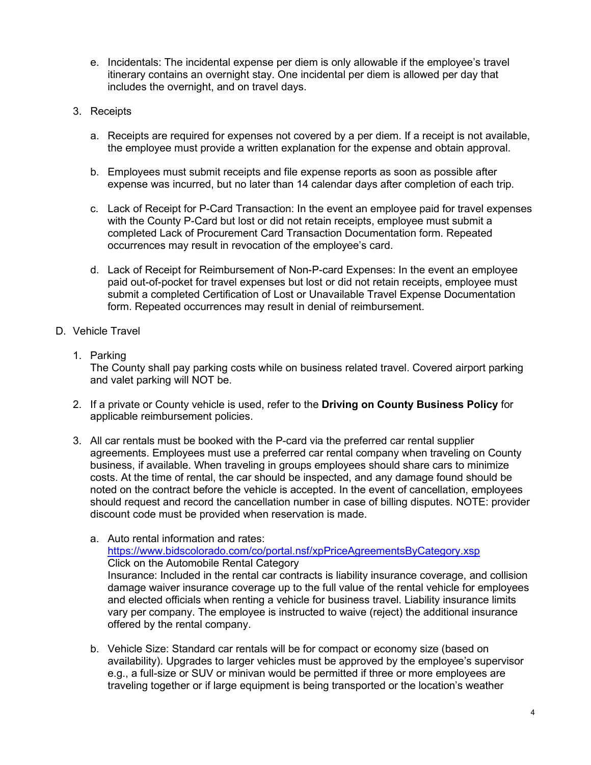- e. Incidentals: The incidental expense per diem is only allowable if the employee's travel itinerary contains an overnight stay. One incidental per diem is allowed per day that includes the overnight, and on travel days.
- 3. Receipts
	- a. Receipts are required for expenses not covered by a per diem. If a receipt is not available, the employee must provide a written explanation for the expense and obtain approval.
	- b. Employees must submit receipts and file expense reports as soon as possible after expense was incurred, but no later than 14 calendar days after completion of each trip.
	- c. Lack of Receipt for P-Card Transaction: In the event an employee paid for travel expenses with the County P-Card but lost or did not retain receipts, employee must submit a completed Lack of Procurement Card Transaction Documentation form. Repeated occurrences may result in revocation of the employee's card.
	- d. Lack of Receipt for Reimbursement of Non-P-card Expenses: In the event an employee paid out-of-pocket for travel expenses but lost or did not retain receipts, employee must submit a completed Certification of Lost or Unavailable Travel Expense Documentation form. Repeated occurrences may result in denial of reimbursement.
- D. Vehicle Travel
	- 1. Parking

The County shall pay parking costs while on business related travel. Covered airport parking and valet parking will NOT be.

- 2. If a private or County vehicle is used, refer to the **Driving on County Business Policy** for applicable reimbursement policies.
- 3. All car rentals must be booked with the P-card via the preferred car rental supplier agreements. Employees must use a preferred car rental company when traveling on County business, if available. When traveling in groups employees should share cars to minimize costs. At the time of rental, the car should be inspected, and any damage found should be noted on the contract before the vehicle is accepted. In the event of cancellation, employees should request and record the cancellation number in case of billing disputes. NOTE: provider discount code must be provided when reservation is made.

a. Auto rental information and rates: <https://www.bidscolorado.com/co/portal.nsf/xpPriceAgreementsByCategory.xsp> Click on the Automobile Rental Category Insurance: Included in the rental car contracts is liability insurance coverage, and collision damage waiver insurance coverage up to the full value of the rental vehicle for employees and elected officials when renting a vehicle for business travel. Liability insurance limits vary per company. The employee is instructed to waive (reject) the additional insurance offered by the rental company.

b. Vehicle Size: Standard car rentals will be for compact or economy size (based on availability). Upgrades to larger vehicles must be approved by the employee's supervisor e.g., a full-size or SUV or minivan would be permitted if three or more employees are traveling together or if large equipment is being transported or the location's weather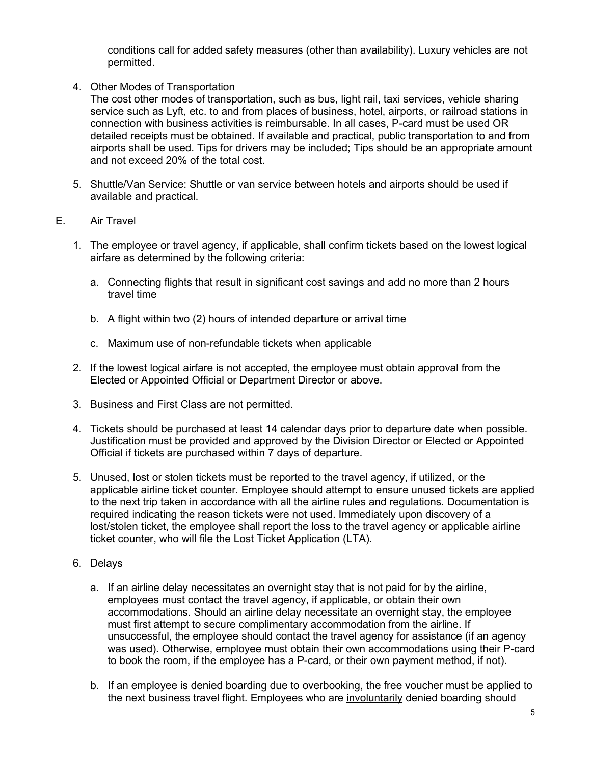conditions call for added safety measures (other than availability). Luxury vehicles are not permitted.

4. Other Modes of Transportation

The cost other modes of transportation, such as bus, light rail, taxi services, vehicle sharing service such as Lyft, etc. to and from places of business, hotel, airports, or railroad stations in connection with business activities is reimbursable. In all cases, P-card must be used OR detailed receipts must be obtained. If available and practical, public transportation to and from airports shall be used. Tips for drivers may be included; Tips should be an appropriate amount and not exceed 20% of the total cost.

- 5. Shuttle/Van Service: Shuttle or van service between hotels and airports should be used if available and practical.
- E. Air Travel
	- 1. The employee or travel agency, if applicable, shall confirm tickets based on the lowest logical airfare as determined by the following criteria:
		- a. Connecting flights that result in significant cost savings and add no more than 2 hours travel time
		- b. A flight within two (2) hours of intended departure or arrival time
		- c. Maximum use of non-refundable tickets when applicable
	- 2. If the lowest logical airfare is not accepted, the employee must obtain approval from the Elected or Appointed Official or Department Director or above.
	- 3. Business and First Class are not permitted.
	- 4. Tickets should be purchased at least 14 calendar days prior to departure date when possible. Justification must be provided and approved by the Division Director or Elected or Appointed Official if tickets are purchased within 7 days of departure.
	- 5. Unused, lost or stolen tickets must be reported to the travel agency, if utilized, or the applicable airline ticket counter. Employee should attempt to ensure unused tickets are applied to the next trip taken in accordance with all the airline rules and regulations. Documentation is required indicating the reason tickets were not used. Immediately upon discovery of a lost/stolen ticket, the employee shall report the loss to the travel agency or applicable airline ticket counter, who will file the Lost Ticket Application (LTA).
	- 6. Delays
		- a. If an airline delay necessitates an overnight stay that is not paid for by the airline, employees must contact the travel agency, if applicable, or obtain their own accommodations. Should an airline delay necessitate an overnight stay, the employee must first attempt to secure complimentary accommodation from the airline. If unsuccessful, the employee should contact the travel agency for assistance (if an agency was used). Otherwise, employee must obtain their own accommodations using their P-card to book the room, if the employee has a P-card, or their own payment method, if not).
		- b. If an employee is denied boarding due to overbooking, the free voucher must be applied to the next business travel flight. Employees who are involuntarily denied boarding should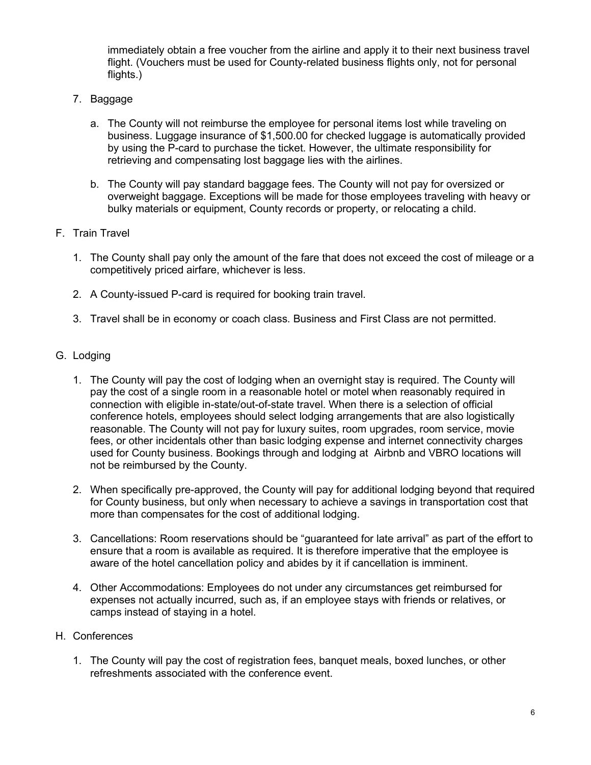immediately obtain a free voucher from the airline and apply it to their next business travel flight. (Vouchers must be used for County-related business flights only, not for personal flights.)

- 7. Baggage
	- a. The County will not reimburse the employee for personal items lost while traveling on business. Luggage insurance of \$1,500.00 for checked luggage is automatically provided by using the P-card to purchase the ticket. However, the ultimate responsibility for retrieving and compensating lost baggage lies with the airlines.
	- b. The County will pay standard baggage fees. The County will not pay for oversized or overweight baggage. Exceptions will be made for those employees traveling with heavy or bulky materials or equipment, County records or property, or relocating a child.
- F. Train Travel
	- 1. The County shall pay only the amount of the fare that does not exceed the cost of mileage or a competitively priced airfare, whichever is less.
	- 2. A County-issued P-card is required for booking train travel.
	- 3. Travel shall be in economy or coach class. Business and First Class are not permitted.

### G. Lodging

- 1. The County will pay the cost of lodging when an overnight stay is required. The County will pay the cost of a single room in a reasonable hotel or motel when reasonably required in connection with eligible in-state/out-of-state travel. When there is a selection of official conference hotels, employees should select lodging arrangements that are also logistically reasonable. The County will not pay for luxury suites, room upgrades, room service, movie fees, or other incidentals other than basic lodging expense and internet connectivity charges used for County business. Bookings through and lodging at Airbnb and VBRO locations will not be reimbursed by the County.
- 2. When specifically pre-approved, the County will pay for additional lodging beyond that required for County business, but only when necessary to achieve a savings in transportation cost that more than compensates for the cost of additional lodging.
- 3. Cancellations: Room reservations should be "guaranteed for late arrival" as part of the effort to ensure that a room is available as required. It is therefore imperative that the employee is aware of the hotel cancellation policy and abides by it if cancellation is imminent.
- 4. Other Accommodations: Employees do not under any circumstances get reimbursed for expenses not actually incurred, such as, if an employee stays with friends or relatives, or camps instead of staying in a hotel.

### H. Conferences

1. The County will pay the cost of registration fees, banquet meals, boxed lunches, or other refreshments associated with the conference event.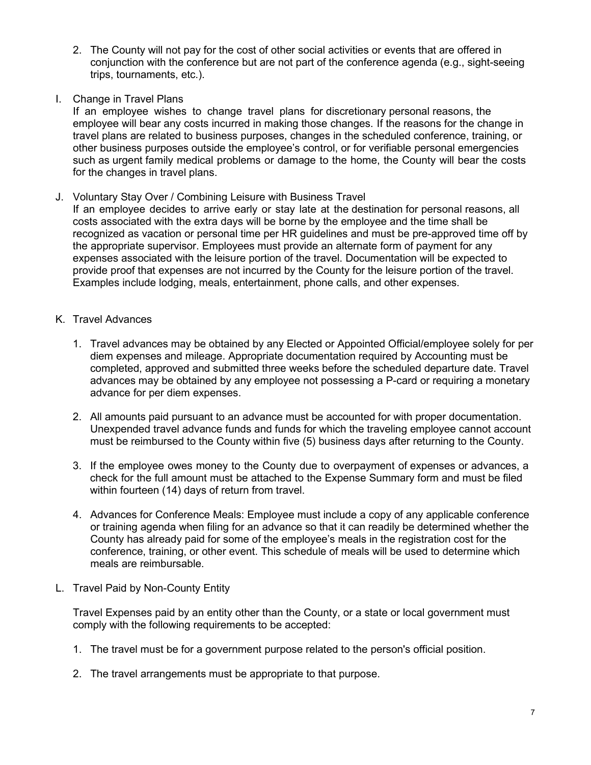- 2. The County will not pay for the cost of other social activities or events that are offered in conjunction with the conference but are not part of the conference agenda (e.g., sight-seeing trips, tournaments, etc.).
- I. Change in Travel Plans

If an employee wishes to change travel plans for discretionary personal reasons, the employee will bear any costs incurred in making those changes. If the reasons for the change in travel plans are related to business purposes, changes in the scheduled conference, training, or other business purposes outside the employee's control, or for verifiable personal emergencies such as urgent family medical problems or damage to the home, the County will bear the costs for the changes in travel plans.

J. Voluntary Stay Over / Combining Leisure with Business Travel

If an employee decides to arrive early or stay late at the destination for personal reasons, all costs associated with the extra days will be borne by the employee and the time shall be recognized as vacation or personal time per HR guidelines and must be pre-approved time off by the appropriate supervisor. Employees must provide an alternate form of payment for any expenses associated with the leisure portion of the travel. Documentation will be expected to provide proof that expenses are not incurred by the County for the leisure portion of the travel. Examples include lodging, meals, entertainment, phone calls, and other expenses.

- K. Travel Advances
	- 1. Travel advances may be obtained by any Elected or Appointed Official/employee solely for per diem expenses and mileage. Appropriate documentation required by Accounting must be completed, approved and submitted three weeks before the scheduled departure date. Travel advances may be obtained by any employee not possessing a P-card or requiring a monetary advance for per diem expenses.
	- 2. All amounts paid pursuant to an advance must be accounted for with proper documentation. Unexpended travel advance funds and funds for which the traveling employee cannot account must be reimbursed to the County within five (5) business days after returning to the County.
	- 3. If the employee owes money to the County due to overpayment of expenses or advances, a check for the full amount must be attached to the Expense Summary form and must be filed within fourteen (14) days of return from travel.
	- 4. Advances for Conference Meals: Employee must include a copy of any applicable conference or training agenda when filing for an advance so that it can readily be determined whether the County has already paid for some of the employee's meals in the registration cost for the conference, training, or other event. This schedule of meals will be used to determine which meals are reimbursable.
- L. Travel Paid by Non-County Entity

Travel Expenses paid by an entity other than the County, or a state or local government must comply with the following requirements to be accepted:

- 1. The travel must be for a government purpose related to the person's official position.
- 2. The travel arrangements must be appropriate to that purpose.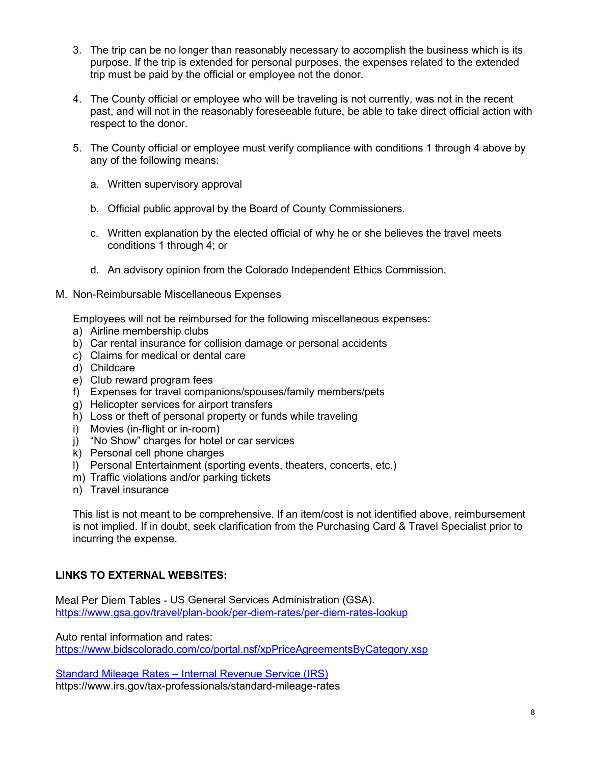- 3. The trip can be no longer than reasonably necessary to accomplish the business which is its purpose. If the trip is extended for personal purposes, the expenses related to the extended trip must be paid by the official or employee not the donor.
- 4. The County official or employee who will be traveling is not currently, was not in the recent past, and will not in the reasonably foreseeable future, be able to take direct official action with respect to the donor.
- 5. The County official or employee must verify compliance with conditions 1 through 4 above by any of the following means:
	- a. Written supervisory approval
	- b. Official public approval by the Board of County Commissioners.
	- c. Written explanation by the elected official of why he or she believes the travel meets conditions 1 through 4; or
	- d. An advisory opinion from the Colorado Independent Ethics Commission.
- M. Non-Reimbursable Miscellaneous Expenses

Employees will not be reimbursed for the following miscellaneous expenses:

- a) Airline membership clubs
- b) Car rental insurance for collision damage or personal accidents
- c) Claims for medical or dental care
- d) Childcare
- e) Club reward program fees
- f) Expenses for travel companions/spouses/family members/pets
- g) Helicopter services for airport transfers
- h) Loss or theft of personal property or funds while traveling
- i) Movies (in-flight or in-room)
- j) "No Show" charges for hotel or car services
- k) Personal cell phone charges
- l) Personal Entertainment (sporting events, theaters, concerts, etc.)
- m) Traffic violations and/or parking tickets
- n) Travel insurance

This list is not meant to be comprehensive. If an item/cost is not identified above, reimbursement is not implied. If in doubt, seek clarification from the Purchasing Card & Travel Specialist prior to incurring the expense.

### **LINKS TO EXTERNAL WEBSITES:**

Meal Per Diem Tables - US General Services Administration (GSA). <https://www.gsa.gov/travel/plan-book/per-diem-rates/per-diem-rates-lookup>

Auto rental information and rates: <https://www.bidscolorado.com/co/portal.nsf/xpPriceAgreementsByCategory.xsp>

Standard Mileage Rates – Internal Revenue Service (IRS) https://www.irs.gov/tax-professionals/standard-mileage-rates